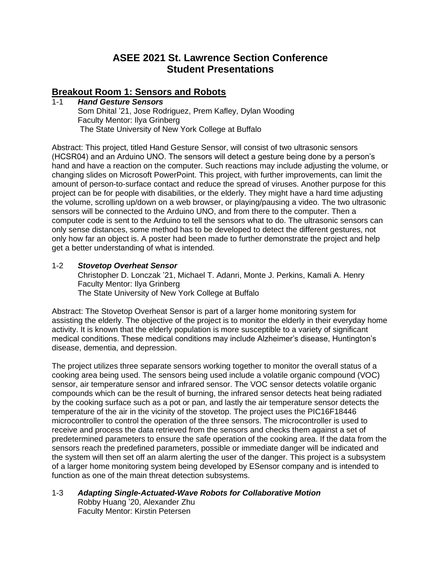# **ASEE 2021 St. Lawrence Section Conference Student Presentations**

# **Breakout Room 1: Sensors and Robots**

#### 1-1 *Hand Gesture Sensors* Som Dhital '21, Jose Rodriguez, Prem Kafley, Dylan Wooding Faculty Mentor: Ilya Grinberg The State University of New York College at Buffalo

Abstract: This project, titled Hand Gesture Sensor, will consist of two ultrasonic sensors (HCSR04) and an Arduino UNO. The sensors will detect a gesture being done by a person's hand and have a reaction on the computer. Such reactions may include adjusting the volume, or changing slides on Microsoft PowerPoint. This project, with further improvements, can limit the amount of person-to-surface contact and reduce the spread of viruses. Another purpose for this project can be for people with disabilities, or the elderly. They might have a hard time adjusting the volume, scrolling up/down on a web browser, or playing/pausing a video. The two ultrasonic sensors will be connected to the Arduino UNO, and from there to the computer. Then a computer code is sent to the Arduino to tell the sensors what to do. The ultrasonic sensors can only sense distances, some method has to be developed to detect the different gestures, not only how far an object is. A poster had been made to further demonstrate the project and help get a better understanding of what is intended.

#### 1-2 *Stovetop Overheat Sensor* Christopher D. Lonczak '21, Michael T. Adanri, Monte J. Perkins, Kamali A. Henry Faculty Mentor: Ilya Grinberg The State University of New York College at Buffalo

Abstract: The Stovetop Overheat Sensor is part of a larger home monitoring system for assisting the elderly. The objective of the project is to monitor the elderly in their everyday home activity. It is known that the elderly population is more susceptible to a variety of significant medical conditions. These medical conditions may include Alzheimer's disease, Huntington's disease, dementia, and depression.

The project utilizes three separate sensors working together to monitor the overall status of a cooking area being used. The sensors being used include a volatile organic compound (VOC) sensor, air temperature sensor and infrared sensor. The VOC sensor detects volatile organic compounds which can be the result of burning, the infrared sensor detects heat being radiated by the cooking surface such as a pot or pan, and lastly the air temperature sensor detects the temperature of the air in the vicinity of the stovetop. The project uses the PIC16F18446 microcontroller to control the operation of the three sensors. The microcontroller is used to receive and process the data retrieved from the sensors and checks them against a set of predetermined parameters to ensure the safe operation of the cooking area. If the data from the sensors reach the predefined parameters, possible or immediate danger will be indicated and the system will then set off an alarm alerting the user of the danger. This project is a subsystem of a larger home monitoring system being developed by ESensor company and is intended to function as one of the main threat detection subsystems.

## 1-3 *Adapting Single-Actuated-Wave Robots for Collaborative Motion* Robby Huang '20, Alexander Zhu Faculty Mentor: Kirstin Petersen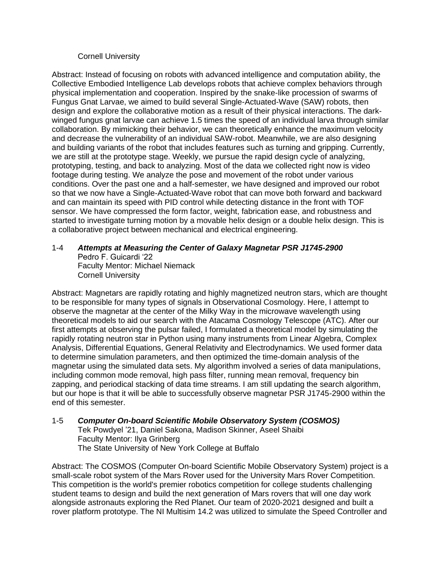#### Cornell University

Abstract: Instead of focusing on robots with advanced intelligence and computation ability, the Collective Embodied Intelligence Lab develops robots that achieve complex behaviors through physical implementation and cooperation. Inspired by the snake-like procession of swarms of Fungus Gnat Larvae, we aimed to build several Single-Actuated-Wave (SAW) robots, then design and explore the collaborative motion as a result of their physical interactions. The darkwinged fungus gnat larvae can achieve 1.5 times the speed of an individual larva through similar collaboration. By mimicking their behavior, we can theoretically enhance the maximum velocity and decrease the vulnerability of an individual SAW-robot. Meanwhile, we are also designing and building variants of the robot that includes features such as turning and gripping. Currently, we are still at the prototype stage. Weekly, we pursue the rapid design cycle of analyzing, prototyping, testing, and back to analyzing. Most of the data we collected right now is video footage during testing. We analyze the pose and movement of the robot under various conditions. Over the past one and a half-semester, we have designed and improved our robot so that we now have a Single-Actuated-Wave robot that can move both forward and backward and can maintain its speed with PID control while detecting distance in the front with TOF sensor. We have compressed the form factor, weight, fabrication ease, and robustness and started to investigate turning motion by a movable helix design or a double helix design. This is a collaborative project between mechanical and electrical engineering.

#### 1-4 *Attempts at Measuring the Center of Galaxy Magnetar PSR J1745-2900* Pedro F. Guicardi '22 Faculty Mentor: Michael Niemack

Cornell University

Abstract: Magnetars are rapidly rotating and highly magnetized neutron stars, which are thought to be responsible for many types of signals in Observational Cosmology. Here, I attempt to observe the magnetar at the center of the Milky Way in the microwave wavelength using theoretical models to aid our search with the Atacama Cosmology Telescope (ATC). After our first attempts at observing the pulsar failed, I formulated a theoretical model by simulating the rapidly rotating neutron star in Python using many instruments from Linear Algebra, Complex Analysis, Differential Equations, General Relativity and Electrodynamics. We used former data to determine simulation parameters, and then optimized the time-domain analysis of the magnetar using the simulated data sets. My algorithm involved a series of data manipulations, including common mode removal, high pass filter, running mean removal, frequency bin zapping, and periodical stacking of data time streams. I am still updating the search algorithm, but our hope is that it will be able to successfully observe magnetar PSR J1745-2900 within the end of this semester.

# 1-5 *Computer On-board Scientific Mobile Observatory System (COSMOS)*

Tek Powdyel '21, Daniel Sakona, Madison Skinner, Aseel Shaibi Faculty Mentor: Ilya Grinberg The State University of New York College at Buffalo

Abstract: The COSMOS (Computer On-board Scientific Mobile Observatory System) project is a small-scale robot system of the Mars Rover used for the University Mars Rover Competition. This competition is the world's premier robotics competition for college students challenging student teams to design and build the next generation of Mars rovers that will one day work alongside astronauts exploring the Red Planet. Our team of 2020-2021 designed and built a rover platform prototype. The NI Multisim 14.2 was utilized to simulate the Speed Controller and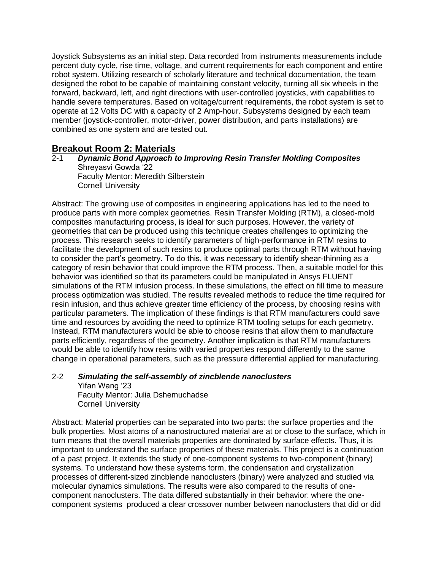Joystick Subsystems as an initial step. Data recorded from instruments measurements include percent duty cycle, rise time, voltage, and current requirements for each component and entire robot system. Utilizing research of scholarly literature and technical documentation, the team designed the robot to be capable of maintaining constant velocity, turning all six wheels in the forward, backward, left, and right directions with user-controlled joysticks, with capabilities to handle severe temperatures. Based on voltage/current requirements, the robot system is set to operate at 12 Volts DC with a capacity of 2 Amp-hour. Subsystems designed by each team member (joystick-controller, motor-driver, power distribution, and parts installations) are combined as one system and are tested out.

# **Breakout Room 2: Materials**

#### 2-1 *Dynamic Bond Approach to Improving Resin Transfer Molding Composites* Shreyasvi Gowda '22 Faculty Mentor: Meredith Silberstein Cornell University

Abstract: The growing use of composites in engineering applications has led to the need to produce parts with more complex geometries. Resin Transfer Molding (RTM), a closed-mold composites manufacturing process, is ideal for such purposes. However, the variety of geometries that can be produced using this technique creates challenges to optimizing the process. This research seeks to identify parameters of high-performance in RTM resins to facilitate the development of such resins to produce optimal parts through RTM without having to consider the part's geometry. To do this, it was necessary to identify shear-thinning as a category of resin behavior that could improve the RTM process. Then, a suitable model for this behavior was identified so that its parameters could be manipulated in Ansys FLUENT simulations of the RTM infusion process. In these simulations, the effect on fill time to measure process optimization was studied. The results revealed methods to reduce the time required for resin infusion, and thus achieve greater time efficiency of the process, by choosing resins with particular parameters. The implication of these findings is that RTM manufacturers could save time and resources by avoiding the need to optimize RTM tooling setups for each geometry. Instead, RTM manufacturers would be able to choose resins that allow them to manufacture parts efficiently, regardless of the geometry. Another implication is that RTM manufacturers would be able to identify how resins with varied properties respond differently to the same change in operational parameters, such as the pressure differential applied for manufacturing.

#### 2-2 *Simulating the self-assembly of zincblende nanoclusters* Yifan Wang '23 Faculty Mentor: Julia Dshemuchadse Cornell University

Abstract: Material properties can be separated into two parts: the surface properties and the bulk properties. Most atoms of a nanostructured material are at or close to the surface, which in turn means that the overall materials properties are dominated by surface effects. Thus, it is important to understand the surface properties of these materials. This project is a continuation of a past project. It extends the study of one-component systems to two-component (binary) systems. To understand how these systems form, the condensation and crystallization processes of different-sized zincblende nanoclusters (binary) were analyzed and studied via molecular dynamics simulations. The results were also compared to the results of onecomponent nanoclusters. The data differed substantially in their behavior: where the onecomponent systems produced a clear crossover number between nanoclusters that did or did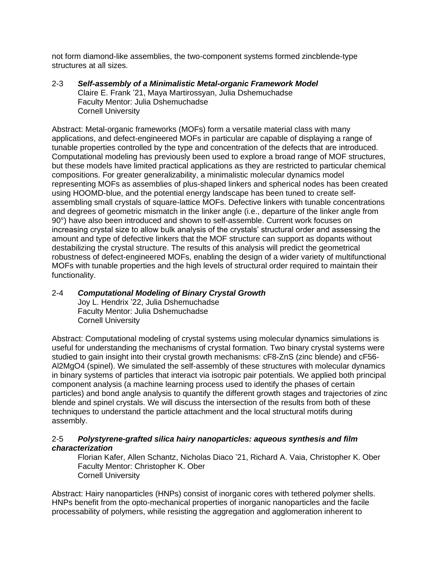not form diamond-like assemblies, the two-component systems formed zincblende-type structures at all sizes.

2-3 *Self-assembly of a Minimalistic Metal-organic Framework Model* Claire E. Frank '21, Maya Martirossyan, Julia Dshemuchadse Faculty Mentor: Julia Dshemuchadse Cornell University

Abstract: Metal-organic frameworks (MOFs) form a versatile material class with many applications, and defect-engineered MOFs in particular are capable of displaying a range of tunable properties controlled by the type and concentration of the defects that are introduced. Computational modeling has previously been used to explore a broad range of MOF structures, but these models have limited practical applications as they are restricted to particular chemical compositions. For greater generalizability, a minimalistic molecular dynamics model representing MOFs as assemblies of plus-shaped linkers and spherical nodes has been created using HOOMD-blue, and the potential energy landscape has been tuned to create selfassembling small crystals of square-lattice MOFs. Defective linkers with tunable concentrations and degrees of geometric mismatch in the linker angle (i.e., departure of the linker angle from 90°) have also been introduced and shown to self-assemble. Current work focuses on increasing crystal size to allow bulk analysis of the crystals' structural order and assessing the amount and type of defective linkers that the MOF structure can support as dopants without destabilizing the crystal structure. The results of this analysis will predict the geometrical robustness of defect-engineered MOFs, enabling the design of a wider variety of multifunctional MOFs with tunable properties and the high levels of structural order required to maintain their functionality.

# 2-4 *Computational Modeling of Binary Crystal Growth*

Joy L. Hendrix '22, Julia Dshemuchadse Faculty Mentor: Julia Dshemuchadse Cornell University

Abstract: Computational modeling of crystal systems using molecular dynamics simulations is useful for understanding the mechanisms of crystal formation. Two binary crystal systems were studied to gain insight into their crystal growth mechanisms: cF8-ZnS (zinc blende) and cF56- Al2MgO4 (spinel). We simulated the self-assembly of these structures with molecular dynamics in binary systems of particles that interact via isotropic pair potentials. We applied both principal component analysis (a machine learning process used to identify the phases of certain particles) and bond angle analysis to quantify the different growth stages and trajectories of zinc blende and spinel crystals. We will discuss the intersection of the results from both of these techniques to understand the particle attachment and the local structural motifs during assembly.

## 2-5 *Polystyrene-grafted silica hairy nanoparticles: aqueous synthesis and film characterization*

Florian Kafer, Allen Schantz, Nicholas Diaco '21, Richard A. Vaia, Christopher K. Ober Faculty Mentor: Christopher K. Ober Cornell University

Abstract: Hairy nanoparticles (HNPs) consist of inorganic cores with tethered polymer shells. HNPs benefit from the opto-mechanical properties of inorganic nanoparticles and the facile processability of polymers, while resisting the aggregation and agglomeration inherent to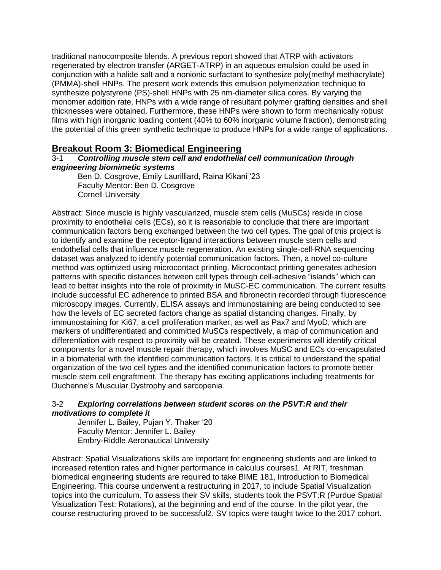traditional nanocomposite blends. A previous report showed that ATRP with activators regenerated by electron transfer (ARGET-ATRP) in an aqueous emulsion could be used in conjunction with a halide salt and a nonionic surfactant to synthesize poly(methyl methacrylate) (PMMA)-shell HNPs. The present work extends this emulsion polymerization technique to synthesize polystyrene (PS)-shell HNPs with 25 nm-diameter silica cores. By varying the monomer addition rate, HNPs with a wide range of resultant polymer grafting densities and shell thicknesses were obtained. Furthermore, these HNPs were shown to form mechanically robust films with high inorganic loading content (40% to 60% inorganic volume fraction), demonstrating the potential of this green synthetic technique to produce HNPs for a wide range of applications.

# **Breakout Room 3: Biomedical Engineering**

## 3-1 *Controlling muscle stem cell and endothelial cell communication through engineering biomimetic systems*

Ben D. Cosgrove, Emily Laurilliard, Raina Kikani '23 Faculty Mentor: Ben D. Cosgrove Cornell University

Abstract: Since muscle is highly vascularized, muscle stem cells (MuSCs) reside in close proximity to endothelial cells (ECs), so it is reasonable to conclude that there are important communication factors being exchanged between the two cell types. The goal of this project is to identify and examine the receptor-ligand interactions between muscle stem cells and endothelial cells that influence muscle regeneration. An existing single-cell-RNA sequencing dataset was analyzed to identify potential communication factors. Then, a novel co-culture method was optimized using microcontact printing. Microcontact printing generates adhesion patterns with specific distances between cell types through cell-adhesive "islands" which can lead to better insights into the role of proximity in MuSC-EC communication. The current results include successful EC adherence to printed BSA and fibronectin recorded through fluorescence microscopy images. Currently, ELISA assays and immunostaining are being conducted to see how the levels of EC secreted factors change as spatial distancing changes. Finally, by immunostaining for Ki67, a cell proliferation marker, as well as Pax7 and MyoD, which are markers of undifferentiated and committed MuSCs respectively, a map of communication and differentiation with respect to proximity will be created. These experiments will identify critical components for a novel muscle repair therapy, which involves MuSC and ECs co-encapsulated in a biomaterial with the identified communication factors. It is critical to understand the spatial organization of the two cell types and the identified communication factors to promote better muscle stem cell engraftment. The therapy has exciting applications including treatments for Duchenne's Muscular Dystrophy and sarcopenia.

## 3-2 *Exploring correlations between student scores on the PSVT:R and their motivations to complete it*

Jennifer L. Bailey, Pujan Y. Thaker '20 Faculty Mentor: Jennifer L. Bailey Embry-Riddle Aeronautical University

Abstract: Spatial Visualizations skills are important for engineering students and are linked to increased retention rates and higher performance in calculus courses1. At RIT, freshman biomedical engineering students are required to take BIME 181, Introduction to Biomedical Engineering. This course underwent a restructuring in 2017, to include Spatial Visualization topics into the curriculum. To assess their SV skills, students took the PSVT:R (Purdue Spatial Visualization Test: Rotations), at the beginning and end of the course. In the pilot year, the course restructuring proved to be successful2. SV topics were taught twice to the 2017 cohort.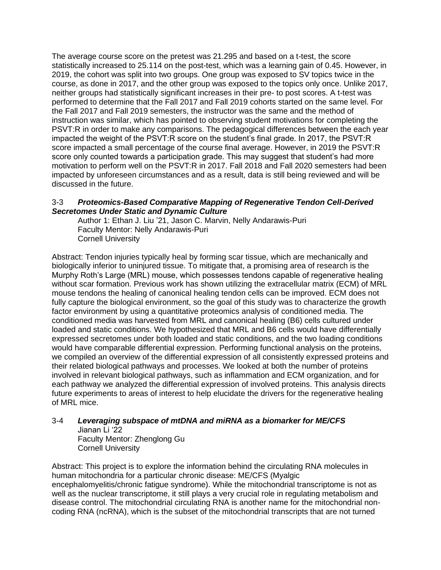The average course score on the pretest was 21.295 and based on a t-test, the score statistically increased to 25.114 on the post-test, which was a learning gain of 0.45. However, in 2019, the cohort was split into two groups. One group was exposed to SV topics twice in the course, as done in 2017, and the other group was exposed to the topics only once. Unlike 2017, neither groups had statistically significant increases in their pre- to post scores. A t-test was performed to determine that the Fall 2017 and Fall 2019 cohorts started on the same level. For the Fall 2017 and Fall 2019 semesters, the instructor was the same and the method of instruction was similar, which has pointed to observing student motivations for completing the PSVT:R in order to make any comparisons. The pedagogical differences between the each year impacted the weight of the PSVT:R score on the student's final grade. In 2017, the PSVT:R score impacted a small percentage of the course final average. However, in 2019 the PSVT:R score only counted towards a participation grade. This may suggest that student's had more motivation to perform well on the PSVT:R in 2017. Fall 2018 and Fall 2020 semesters had been impacted by unforeseen circumstances and as a result, data is still being reviewed and will be discussed in the future.

#### 3-3 *Proteomics-Based Comparative Mapping of Regenerative Tendon Cell-Derived Secretomes Under Static and Dynamic Culture*

Author 1: Ethan J. Liu '21, Jason C. Marvin, Nelly Andarawis-Puri Faculty Mentor: Nelly Andarawis-Puri Cornell University

Abstract: Tendon injuries typically heal by forming scar tissue, which are mechanically and biologically inferior to uninjured tissue. To mitigate that, a promising area of research is the Murphy Roth's Large (MRL) mouse, which possesses tendons capable of regenerative healing without scar formation. Previous work has shown utilizing the extracellular matrix (ECM) of MRL mouse tendons the healing of canonical healing tendon cells can be improved. ECM does not fully capture the biological environment, so the goal of this study was to characterize the growth factor environment by using a quantitative proteomics analysis of conditioned media. The conditioned media was harvested from MRL and canonical healing (B6) cells cultured under loaded and static conditions. We hypothesized that MRL and B6 cells would have differentially expressed secretomes under both loaded and static conditions, and the two loading conditions would have comparable differential expression. Performing functional analysis on the proteins, we compiled an overview of the differential expression of all consistently expressed proteins and their related biological pathways and processes. We looked at both the number of proteins involved in relevant biological pathways, such as inflammation and ECM organization, and for each pathway we analyzed the differential expression of involved proteins. This analysis directs future experiments to areas of interest to help elucidate the drivers for the regenerative healing of MRL mice.

# 3-4 *Leveraging subspace of mtDNA and miRNA as a biomarker for ME/CFS*

Jianan Li '22 Faculty Mentor: Zhenglong Gu Cornell University

Abstract: This project is to explore the information behind the circulating RNA molecules in human mitochondria for a particular chronic disease: ME/CFS (Myalgic encephalomyelitis/chronic fatigue syndrome). While the mitochondrial transcriptome is not as well as the nuclear transcriptome, it still plays a very crucial role in regulating metabolism and disease control. The mitochondrial circulating RNA is another name for the mitochondrial noncoding RNA (ncRNA), which is the subset of the mitochondrial transcripts that are not turned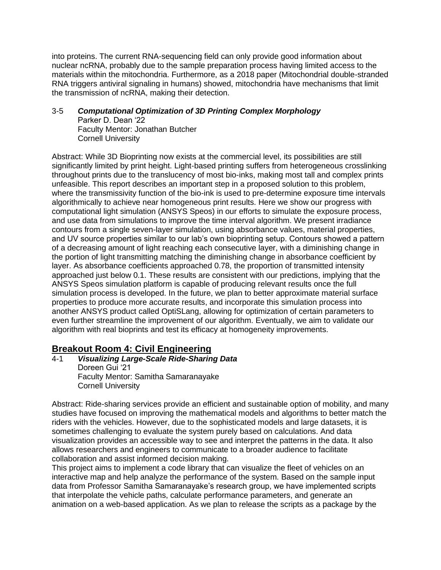into proteins. The current RNA-sequencing field can only provide good information about nuclear ncRNA, probably due to the sample preparation process having limited access to the materials within the mitochondria. Furthermore, as a 2018 paper (Mitochondrial double-stranded RNA triggers antiviral signaling in humans) showed, mitochondria have mechanisms that limit the transmission of ncRNA, making their detection.

## 3-5 *Computational Optimization of 3D Printing Complex Morphology*

Parker D. Dean '22 Faculty Mentor: Jonathan Butcher Cornell University

Abstract: While 3D Bioprinting now exists at the commercial level, its possibilities are still significantly limited by print height. Light-based printing suffers from heterogeneous crosslinking throughout prints due to the translucency of most bio-inks, making most tall and complex prints unfeasible. This report describes an important step in a proposed solution to this problem, where the transmissivity function of the bio-ink is used to pre-determine exposure time intervals algorithmically to achieve near homogeneous print results. Here we show our progress with computational light simulation (ANSYS Speos) in our efforts to simulate the exposure process, and use data from simulations to improve the time interval algorithm. We present irradiance contours from a single seven-layer simulation, using absorbance values, material properties, and UV source properties similar to our lab's own bioprinting setup. Contours showed a pattern of a decreasing amount of light reaching each consecutive layer, with a diminishing change in the portion of light transmitting matching the diminishing change in absorbance coefficient by layer. As absorbance coefficients approached 0.78, the proportion of transmitted intensity approached just below 0.1. These results are consistent with our predictions, implying that the ANSYS Speos simulation platform is capable of producing relevant results once the full simulation process is developed. In the future, we plan to better approximate material surface properties to produce more accurate results, and incorporate this simulation process into another ANSYS product called OptiSLang, allowing for optimization of certain parameters to even further streamline the improvement of our algorithm. Eventually, we aim to validate our algorithm with real bioprints and test its efficacy at homogeneity improvements.

# **Breakout Room 4: Civil Engineering**

4-1 *Visualizing Large-Scale Ride-Sharing Data* Doreen Gui '21 Faculty Mentor: Samitha Samaranayake Cornell University

Abstract: Ride-sharing services provide an efficient and sustainable option of mobility, and many studies have focused on improving the mathematical models and algorithms to better match the riders with the vehicles. However, due to the sophisticated models and large datasets, it is sometimes challenging to evaluate the system purely based on calculations. And data visualization provides an accessible way to see and interpret the patterns in the data. It also allows researchers and engineers to communicate to a broader audience to facilitate collaboration and assist informed decision making.

This project aims to implement a code library that can visualize the fleet of vehicles on an interactive map and help analyze the performance of the system. Based on the sample input data from Professor Samitha Samaranayake's research group, we have implemented scripts that interpolate the vehicle paths, calculate performance parameters, and generate an animation on a web-based application. As we plan to release the scripts as a package by the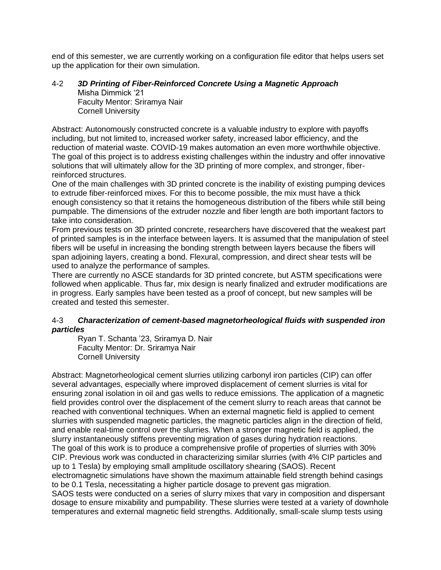end of this semester, we are currently working on a configuration file editor that helps users set up the application for their own simulation.

## 4-2 *3D Printing of Fiber-Reinforced Concrete Using a Magnetic Approach* Misha Dimmick '21 Faculty Mentor: Sriramya Nair

Cornell University Abstract: Autonomously constructed concrete is a valuable industry to explore with payoffs including, but not limited to, increased worker safety, increased labor efficiency, and the reduction of material waste. COVID-19 makes automation an even more worthwhile objective. The goal of this project is to address existing challenges within the industry and offer innovative solutions that will ultimately allow for the 3D printing of more complex, and stronger, fiberreinforced structures.

One of the main challenges with 3D printed concrete is the inability of existing pumping devices to extrude fiber-reinforced mixes. For this to become possible, the mix must have a thick enough consistency so that it retains the homogeneous distribution of the fibers while still being pumpable. The dimensions of the extruder nozzle and fiber length are both important factors to take into consideration.

From previous tests on 3D printed concrete, researchers have discovered that the weakest part of printed samples is in the interface between layers. It is assumed that the manipulation of steel fibers will be useful in increasing the bonding strength between layers because the fibers will span adjoining layers, creating a bond. Flexural, compression, and direct shear tests will be used to analyze the performance of samples.

There are currently no ASCE standards for 3D printed concrete, but ASTM specifications were followed when applicable. Thus far, mix design is nearly finalized and extruder modifications are in progress. Early samples have been tested as a proof of concept, but new samples will be created and tested this semester.

## 4-3 *Characterization of cement-based magnetorheological fluids with suspended iron particles*

Ryan T. Schanta '23, Sriramya D. Nair Faculty Mentor: Dr. Sriramya Nair Cornell University

Abstract: Magnetorheological cement slurries utilizing carbonyl iron particles (CIP) can offer several advantages, especially where improved displacement of cement slurries is vital for ensuring zonal isolation in oil and gas wells to reduce emissions. The application of a magnetic field provides control over the displacement of the cement slurry to reach areas that cannot be reached with conventional techniques. When an external magnetic field is applied to cement slurries with suspended magnetic particles, the magnetic particles align in the direction of field, and enable real-time control over the slurries. When a stronger magnetic field is applied, the slurry instantaneously stiffens preventing migration of gases during hydration reactions. The goal of this work is to produce a comprehensive profile of properties of slurries with 30% CIP. Previous work was conducted in characterizing similar slurries (with 4% CIP particles and up to 1 Tesla) by employing small amplitude oscillatory shearing (SAOS). Recent electromagnetic simulations have shown the maximum attainable field strength behind casings to be 0.1 Tesla, necessitating a higher particle dosage to prevent gas migration. SAOS tests were conducted on a series of slurry mixes that vary in composition and dispersant dosage to ensure mixability and pumpability. These slurries were tested at a variety of downhole temperatures and external magnetic field strengths. Additionally, small-scale slump tests using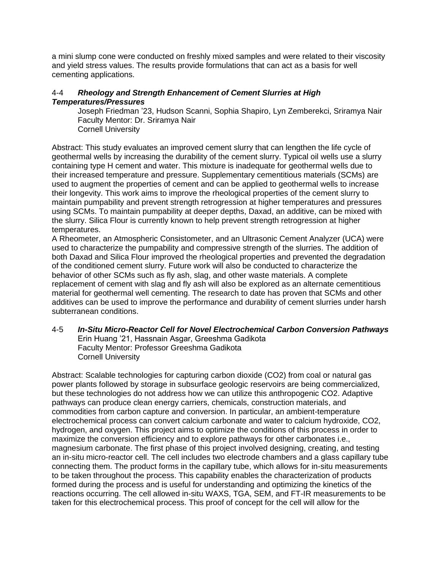a mini slump cone were conducted on freshly mixed samples and were related to their viscosity and yield stress values. The results provide formulations that can act as a basis for well cementing applications.

## 4-4 *Rheology and Strength Enhancement of Cement Slurries at High Temperatures/Pressures*

Joseph Friedman '23, Hudson Scanni, Sophia Shapiro, Lyn Zemberekci, Sriramya Nair Faculty Mentor: Dr. Sriramya Nair Cornell University

Abstract: This study evaluates an improved cement slurry that can lengthen the life cycle of geothermal wells by increasing the durability of the cement slurry. Typical oil wells use a slurry containing type H cement and water. This mixture is inadequate for geothermal wells due to their increased temperature and pressure. Supplementary cementitious materials (SCMs) are used to augment the properties of cement and can be applied to geothermal wells to increase their longevity. This work aims to improve the rheological properties of the cement slurry to maintain pumpability and prevent strength retrogression at higher temperatures and pressures using SCMs. To maintain pumpability at deeper depths, Daxad, an additive, can be mixed with the slurry. Silica Flour is currently known to help prevent strength retrogression at higher temperatures.

A Rheometer, an Atmospheric Consistometer, and an Ultrasonic Cement Analyzer (UCA) were used to characterize the pumpability and compressive strength of the slurries. The addition of both Daxad and Silica Flour improved the rheological properties and prevented the degradation of the conditioned cement slurry. Future work will also be conducted to characterize the behavior of other SCMs such as fly ash, slag, and other waste materials. A complete replacement of cement with slag and fly ash will also be explored as an alternate cementitious material for geothermal well cementing. The research to date has proven that SCMs and other additives can be used to improve the performance and durability of cement slurries under harsh subterranean conditions.

4-5 *In-Situ Micro-Reactor Cell for Novel Electrochemical Carbon Conversion Pathways* Erin Huang '21, Hassnain Asgar, Greeshma Gadikota Faculty Mentor: Professor Greeshma Gadikota Cornell University

Abstract: Scalable technologies for capturing carbon dioxide (CO2) from coal or natural gas power plants followed by storage in subsurface geologic reservoirs are being commercialized, but these technologies do not address how we can utilize this anthropogenic CO2. Adaptive pathways can produce clean energy carriers, chemicals, construction materials, and commodities from carbon capture and conversion. In particular, an ambient-temperature electrochemical process can convert calcium carbonate and water to calcium hydroxide, CO2, hydrogen, and oxygen. This project aims to optimize the conditions of this process in order to maximize the conversion efficiency and to explore pathways for other carbonates i.e., magnesium carbonate. The first phase of this project involved designing, creating, and testing an in-situ micro-reactor cell. The cell includes two electrode chambers and a glass capillary tube connecting them. The product forms in the capillary tube, which allows for in-situ measurements to be taken throughout the process. This capability enables the characterization of products formed during the process and is useful for understanding and optimizing the kinetics of the reactions occurring. The cell allowed in-situ WAXS, TGA, SEM, and FT-IR measurements to be taken for this electrochemical process. This proof of concept for the cell will allow for the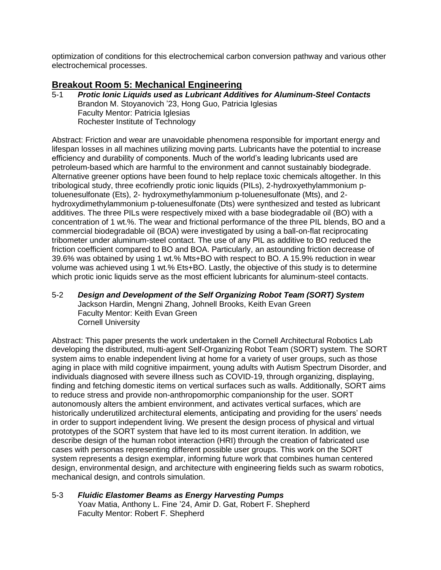optimization of conditions for this electrochemical carbon conversion pathway and various other electrochemical processes.

# **Breakout Room 5: Mechanical Engineering**

5-1 *Protic Ionic Liquids used as Lubricant Additives for Aluminum-Steel Contacts* Brandon M. Stoyanovich '23, Hong Guo, Patricia Iglesias Faculty Mentor: Patricia Iglesias Rochester Institute of Technology

Abstract: Friction and wear are unavoidable phenomena responsible for important energy and lifespan losses in all machines utilizing moving parts. Lubricants have the potential to increase efficiency and durability of components. Much of the world's leading lubricants used are petroleum-based which are harmful to the environment and cannot sustainably biodegrade. Alternative greener options have been found to help replace toxic chemicals altogether. In this tribological study, three ecofriendly protic ionic liquids (PILs), 2-hydroxyethylammonium ptoluenesulfonate (Ets), 2- hydroxymethylammonium p-toluenesulfonate (Mts), and 2 hydroxydimethylammonium p-toluenesulfonate (Dts) were synthesized and tested as lubricant additives. The three PILs were respectively mixed with a base biodegradable oil (BO) with a concentration of 1 wt.%. The wear and frictional performance of the three PIL blends, BO and a commercial biodegradable oil (BOA) were investigated by using a ball-on-flat reciprocating tribometer under aluminum-steel contact. The use of any PIL as additive to BO reduced the friction coefficient compared to BO and BOA. Particularly, an astounding friction decrease of 39.6% was obtained by using 1 wt.% Mts+BO with respect to BO. A 15.9% reduction in wear volume was achieved using 1 wt.% Ets+BO. Lastly, the objective of this study is to determine which protic ionic liquids serve as the most efficient lubricants for aluminum-steel contacts.

5-2 *Design and Development of the Self Organizing Robot Team (SORT) System* Jackson Hardin, Mengni Zhang, Johnell Brooks, Keith Evan Green Faculty Mentor: Keith Evan Green Cornell University

Abstract: This paper presents the work undertaken in the Cornell Architectural Robotics Lab developing the distributed, multi-agent Self-Organizing Robot Team (SORT) system. The SORT system aims to enable independent living at home for a variety of user groups, such as those aging in place with mild cognitive impairment, young adults with Autism Spectrum Disorder, and individuals diagnosed with severe illness such as COVID-19, through organizing, displaying, finding and fetching domestic items on vertical surfaces such as walls. Additionally, SORT aims to reduce stress and provide non-anthropomorphic companionship for the user. SORT autonomously alters the ambient environment, and activates vertical surfaces, which are historically underutilized architectural elements, anticipating and providing for the users' needs in order to support independent living. We present the design process of physical and virtual prototypes of the SORT system that have led to its most current iteration. In addition, we describe design of the human robot interaction (HRI) through the creation of fabricated use cases with personas representing different possible user groups. This work on the SORT system represents a design exemplar, informing future work that combines human centered design, environmental design, and architecture with engineering fields such as swarm robotics, mechanical design, and controls simulation.

5-3 *Fluidic Elastomer Beams as Energy Harvesting Pumps* Yoav Matia, Anthony L. Fine '24, Amir D. Gat, Robert F. Shepherd Faculty Mentor: Robert F. Shepherd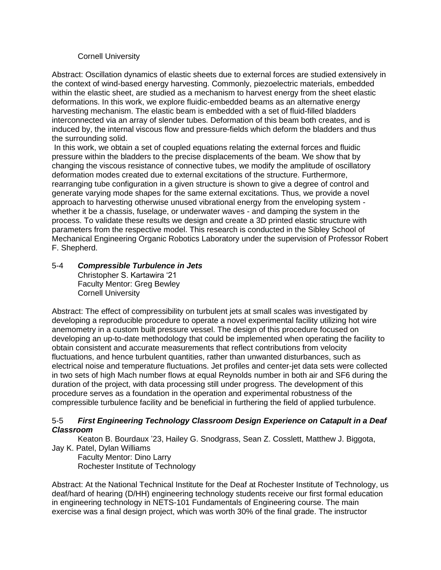#### Cornell University

Abstract: Oscillation dynamics of elastic sheets due to external forces are studied extensively in the context of wind-based energy harvesting. Commonly, piezoelectric materials, embedded within the elastic sheet, are studied as a mechanism to harvest energy from the sheet elastic deformations. In this work, we explore fluidic-embedded beams as an alternative energy harvesting mechanism. The elastic beam is embedded with a set of fluid-filled bladders interconnected via an array of slender tubes. Deformation of this beam both creates, and is induced by, the internal viscous flow and pressure-fields which deform the bladders and thus the surrounding solid.

In this work, we obtain a set of coupled equations relating the external forces and fluidic pressure within the bladders to the precise displacements of the beam. We show that by changing the viscous resistance of connective tubes, we modify the amplitude of oscillatory deformation modes created due to external excitations of the structure. Furthermore, rearranging tube configuration in a given structure is shown to give a degree of control and generate varying mode shapes for the same external excitations. Thus, we provide a novel approach to harvesting otherwise unused vibrational energy from the enveloping system whether it be a chassis, fuselage, or underwater waves - and damping the system in the process. To validate these results we design and create a 3D printed elastic structure with parameters from the respective model. This research is conducted in the Sibley School of Mechanical Engineering Organic Robotics Laboratory under the supervision of Professor Robert F. Shepherd.

# 5-4 *Compressible Turbulence in Jets*

Christopher S. Kartawira '21 Faculty Mentor: Greg Bewley Cornell University

Abstract: The effect of compressibility on turbulent jets at small scales was investigated by developing a reproducible procedure to operate a novel experimental facility utilizing hot wire anemometry in a custom built pressure vessel. The design of this procedure focused on developing an up-to-date methodology that could be implemented when operating the facility to obtain consistent and accurate measurements that reflect contributions from velocity fluctuations, and hence turbulent quantities, rather than unwanted disturbances, such as electrical noise and temperature fluctuations. Jet profiles and center-jet data sets were collected in two sets of high Mach number flows at equal Reynolds number in both air and SF6 during the duration of the project, with data processing still under progress. The development of this procedure serves as a foundation in the operation and experimental robustness of the compressible turbulence facility and be beneficial in furthering the field of applied turbulence.

#### 5-5 *First Engineering Technology Classroom Design Experience on Catapult in a Deaf Classroom*

Keaton B. Bourdaux '23, Hailey G. Snodgrass, Sean Z. Cosslett, Matthew J. Biggota, Jay K. Patel, Dylan Williams

Faculty Mentor: Dino Larry Rochester Institute of Technology

Abstract: At the National Technical Institute for the Deaf at Rochester Institute of Technology, us deaf/hard of hearing (D/HH) engineering technology students receive our first formal education in engineering technology in NETS-101 Fundamentals of Engineering course. The main exercise was a final design project, which was worth 30% of the final grade. The instructor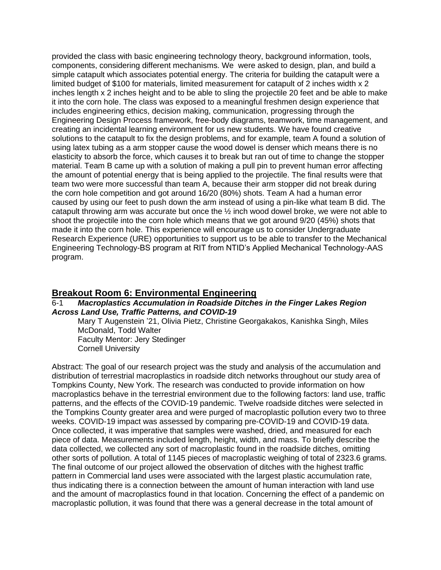provided the class with basic engineering technology theory, background information, tools, components, considering different mechanisms. We were asked to design, plan, and build a simple catapult which associates potential energy. The criteria for building the catapult were a limited budget of \$100 for materials, limited measurement for catapult of 2 inches width x 2 inches length x 2 inches height and to be able to sling the projectile 20 feet and be able to make it into the corn hole. The class was exposed to a meaningful freshmen design experience that includes engineering ethics, decision making, communication, progressing through the Engineering Design Process framework, free-body diagrams, teamwork, time management, and creating an incidental learning environment for us new students. We have found creative solutions to the catapult to fix the design problems, and for example, team A found a solution of using latex tubing as a arm stopper cause the wood dowel is denser which means there is no elasticity to absorb the force, which causes it to break but ran out of time to change the stopper material. Team B came up with a solution of making a pull pin to prevent human error affecting the amount of potential energy that is being applied to the projectile. The final results were that team two were more successful than team A, because their arm stopper did not break during the corn hole competition and got around 16/20 (80%) shots. Team A had a human error caused by using our feet to push down the arm instead of using a pin-like what team B did. The catapult throwing arm was accurate but once the ½ inch wood dowel broke, we were not able to shoot the projectile into the corn hole which means that we got around 9/20 (45%) shots that made it into the corn hole. This experience will encourage us to consider Undergraduate Research Experience (URE) opportunities to support us to be able to transfer to the Mechanical Engineering Technology-BS program at RIT from NTID's Applied Mechanical Technology-AAS program.

# **Breakout Room 6: Environmental Engineering**

#### 6-1 *Macroplastics Accumulation in Roadside Ditches in the Finger Lakes Region Across Land Use, Traffic Patterns, and COVID-19*

Mary T Augenstein '21, Olivia Pietz, Christine Georgakakos, Kanishka Singh, Miles McDonald, Todd Walter Faculty Mentor: Jery Stedinger Cornell University

Abstract: The goal of our research project was the study and analysis of the accumulation and distribution of terrestrial macroplastics in roadside ditch networks throughout our study area of Tompkins County, New York. The research was conducted to provide information on how macroplastics behave in the terrestrial environment due to the following factors: land use, traffic patterns, and the effects of the COVID-19 pandemic. Twelve roadside ditches were selected in the Tompkins County greater area and were purged of macroplastic pollution every two to three weeks. COVID-19 impact was assessed by comparing pre-COVID-19 and COVID-19 data. Once collected, it was imperative that samples were washed, dried, and measured for each piece of data. Measurements included length, height, width, and mass. To briefly describe the data collected, we collected any sort of macroplastic found in the roadside ditches, omitting other sorts of pollution. A total of 1145 pieces of macroplastic weighing of total of 2323.6 grams. The final outcome of our project allowed the observation of ditches with the highest traffic pattern in Commercial land uses were associated with the largest plastic accumulation rate, thus indicating there is a connection between the amount of human interaction with land use and the amount of macroplastics found in that location. Concerning the effect of a pandemic on macroplastic pollution, it was found that there was a general decrease in the total amount of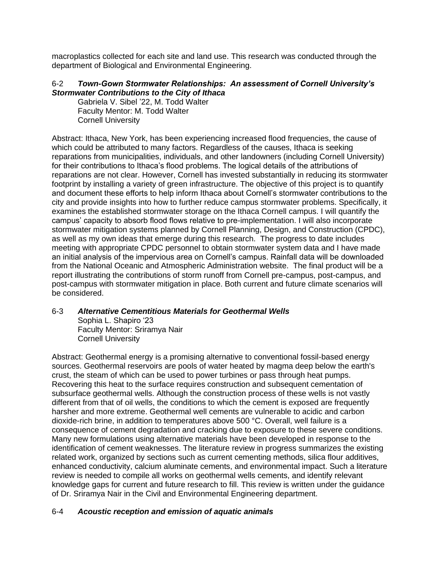macroplastics collected for each site and land use. This research was conducted through the department of Biological and Environmental Engineering.

## 6-2 *Town-Gown Stormwater Relationships: An assessment of Cornell University's Stormwater Contributions to the City of Ithaca*

Gabriela V. Sibel '22, M. Todd Walter Faculty Mentor: M. Todd Walter Cornell University

Abstract: Ithaca, New York, has been experiencing increased flood frequencies, the cause of which could be attributed to many factors. Regardless of the causes, Ithaca is seeking reparations from municipalities, individuals, and other landowners (including Cornell University) for their contributions to Ithaca's flood problems. The logical details of the attributions of reparations are not clear. However, Cornell has invested substantially in reducing its stormwater footprint by installing a variety of green infrastructure. The objective of this project is to quantify and document these efforts to help inform Ithaca about Cornell's stormwater contributions to the city and provide insights into how to further reduce campus stormwater problems. Specifically, it examines the established stormwater storage on the Ithaca Cornell campus. I will quantify the campus' capacity to absorb flood flows relative to pre-implementation. I will also incorporate stormwater mitigation systems planned by Cornell Planning, Design, and Construction (CPDC), as well as my own ideas that emerge during this research. The progress to date includes meeting with appropriate CPDC personnel to obtain stormwater system data and I have made an initial analysis of the impervious area on Cornell's campus. Rainfall data will be downloaded from the National Oceanic and Atmospheric Administration website. The final product will be a report illustrating the contributions of storm runoff from Cornell pre-campus, post-campus, and post-campus with stormwater mitigation in place. Both current and future climate scenarios will be considered.

## 6-3 *Alternative Cementitious Materials for Geothermal Wells*

Sophia L. Shapiro '23 Faculty Mentor: Sriramya Nair Cornell University

Abstract: Geothermal energy is a promising alternative to conventional fossil-based energy sources. Geothermal reservoirs are pools of water heated by magma deep below the earth's crust, the steam of which can be used to power turbines or pass through heat pumps. Recovering this heat to the surface requires construction and subsequent cementation of subsurface geothermal wells. Although the construction process of these wells is not vastly different from that of oil wells, the conditions to which the cement is exposed are frequently harsher and more extreme. Geothermal well cements are vulnerable to acidic and carbon dioxide-rich brine, in addition to temperatures above 500 °C. Overall, well failure is a consequence of cement degradation and cracking due to exposure to these severe conditions. Many new formulations using alternative materials have been developed in response to the identification of cement weaknesses. The literature review in progress summarizes the existing related work, organized by sections such as current cementing methods, silica flour additives, enhanced conductivity, calcium aluminate cements, and environmental impact. Such a literature review is needed to compile all works on geothermal wells cements, and identify relevant knowledge gaps for current and future research to fill. This review is written under the guidance of Dr. Sriramya Nair in the Civil and Environmental Engineering department.

# 6-4 *Acoustic reception and emission of aquatic animals*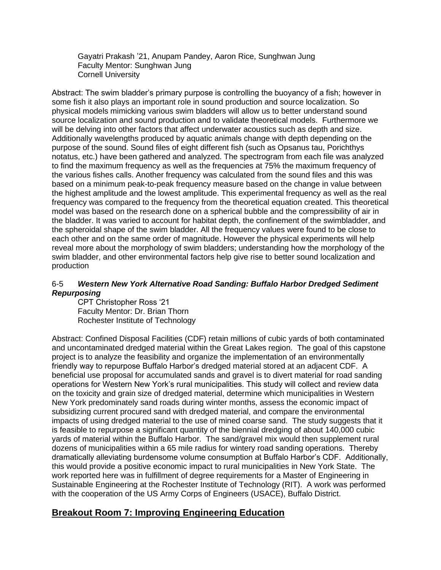Gayatri Prakash '21, Anupam Pandey, Aaron Rice, Sunghwan Jung Faculty Mentor: Sunghwan Jung Cornell University

Abstract: The swim bladder's primary purpose is controlling the buoyancy of a fish; however in some fish it also plays an important role in sound production and source localization. So physical models mimicking various swim bladders will allow us to better understand sound source localization and sound production and to validate theoretical models. Furthermore we will be delving into other factors that affect underwater acoustics such as depth and size. Additionally wavelengths produced by aquatic animals change with depth depending on the purpose of the sound. Sound files of eight different fish (such as Opsanus tau, Porichthys notatus, etc.) have been gathered and analyzed. The spectrogram from each file was analyzed to find the maximum frequency as well as the frequencies at 75% the maximum frequency of the various fishes calls. Another frequency was calculated from the sound files and this was based on a minimum peak-to-peak frequency measure based on the change in value between the highest amplitude and the lowest amplitude. This experimental frequency as well as the real frequency was compared to the frequency from the theoretical equation created. This theoretical model was based on the research done on a spherical bubble and the compressibility of air in the bladder. It was varied to account for habitat depth, the confinement of the swimbladder, and the spheroidal shape of the swim bladder. All the frequency values were found to be close to each other and on the same order of magnitude. However the physical experiments will help reveal more about the morphology of swim bladders; understanding how the morphology of the swim bladder, and other environmental factors help give rise to better sound localization and production

## 6-5 *Western New York Alternative Road Sanding: Buffalo Harbor Dredged Sediment Repurposing*

CPT Christopher Ross '21 Faculty Mentor: Dr. Brian Thorn Rochester Institute of Technology

Abstract: Confined Disposal Facilities (CDF) retain millions of cubic yards of both contaminated and uncontaminated dredged material within the Great Lakes region. The goal of this capstone project is to analyze the feasibility and organize the implementation of an environmentally friendly way to repurpose Buffalo Harbor's dredged material stored at an adjacent CDF. A beneficial use proposal for accumulated sands and gravel is to divert material for road sanding operations for Western New York's rural municipalities. This study will collect and review data on the toxicity and grain size of dredged material, determine which municipalities in Western New York predominately sand roads during winter months, assess the economic impact of subsidizing current procured sand with dredged material, and compare the environmental impacts of using dredged material to the use of mined coarse sand. The study suggests that it is feasible to repurpose a significant quantity of the biennial dredging of about 140,000 cubic yards of material within the Buffalo Harbor. The sand/gravel mix would then supplement rural dozens of municipalities within a 65 mile radius for wintery road sanding operations. Thereby dramatically alleviating burdensome volume consumption at Buffalo Harbor's CDF. Additionally, this would provide a positive economic impact to rural municipalities in New York State. The work reported here was in fulfillment of degree requirements for a Master of Engineering in Sustainable Engineering at the Rochester Institute of Technology (RIT). A work was performed with the cooperation of the US Army Corps of Engineers (USACE), Buffalo District.

# **Breakout Room 7: Improving Engineering Education**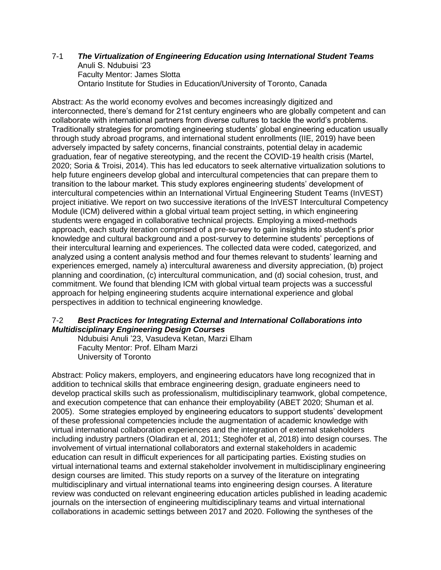#### 7-1 *The Virtualization of Engineering Education using International Student Teams* Anuli S. Ndubuisi '23 Faculty Mentor: James Slotta Ontario Institute for Studies in Education/University of Toronto, Canada

Abstract: As the world economy evolves and becomes increasingly digitized and interconnected, there's demand for 21st century engineers who are globally competent and can collaborate with international partners from diverse cultures to tackle the world's problems. Traditionally strategies for promoting engineering students' global engineering education usually through study abroad programs, and international student enrollments (IIE, 2019) have been adversely impacted by safety concerns, financial constraints, potential delay in academic graduation, fear of negative stereotyping, and the recent the COVID-19 health crisis (Martel, 2020; Soria & Troisi, 2014). This has led educators to seek alternative virtualization solutions to help future engineers develop global and intercultural competencies that can prepare them to transition to the labour market. This study explores engineering students' development of intercultural competencies within an International Virtual Engineering Student Teams (InVEST) project initiative. We report on two successive iterations of the InVEST Intercultural Competency Module (ICM) delivered within a global virtual team project setting, in which engineering students were engaged in collaborative technical projects. Employing a mixed-methods approach, each study iteration comprised of a pre-survey to gain insights into student's prior knowledge and cultural background and a post-survey to determine students' perceptions of their intercultural learning and experiences. The collected data were coded, categorized, and analyzed using a content analysis method and four themes relevant to students' learning and experiences emerged, namely a) intercultural awareness and diversity appreciation, (b) project planning and coordination, (c) intercultural communication, and (d) social cohesion, trust, and commitment. We found that blending ICM with global virtual team projects was a successful approach for helping engineering students acquire international experience and global perspectives in addition to technical engineering knowledge.

## 7-2 *Best Practices for Integrating External and International Collaborations into Multidisciplinary Engineering Design Courses*

Ndubuisi Anuli '23, Vasudeva Ketan, Marzi Elham Faculty Mentor: Prof. Elham Marzi University of Toronto

Abstract: Policy makers, employers, and engineering educators have long recognized that in addition to technical skills that embrace engineering design, graduate engineers need to develop practical skills such as professionalism, multidisciplinary teamwork, global competence, and execution competence that can enhance their employability (ABET 2020; Shuman et al. 2005). Some strategies employed by engineering educators to support students' development of these professional competencies include the augmentation of academic knowledge with virtual international collaboration experiences and the integration of external stakeholders including industry partners (Oladiran et al, 2011; Steghöfer et al, 2018) into design courses. The involvement of virtual international collaborators and external stakeholders in academic education can result in difficult experiences for all participating parties. Existing studies on virtual international teams and external stakeholder involvement in multidisciplinary engineering design courses are limited. This study reports on a survey of the literature on integrating multidisciplinary and virtual international teams into engineering design courses. A literature review was conducted on relevant engineering education articles published in leading academic journals on the intersection of engineering multidisciplinary teams and virtual international collaborations in academic settings between 2017 and 2020. Following the syntheses of the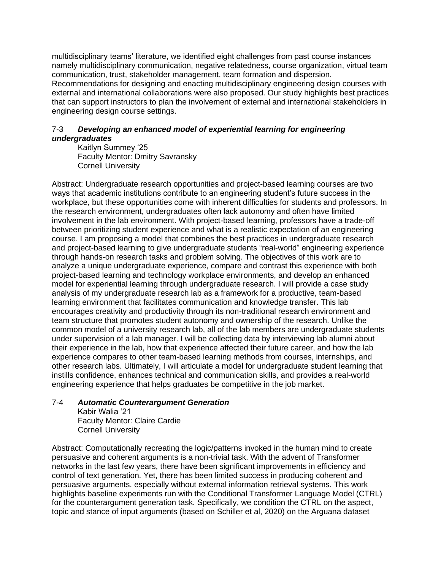multidisciplinary teams' literature, we identified eight challenges from past course instances namely multidisciplinary communication, negative relatedness, course organization, virtual team communication, trust, stakeholder management, team formation and dispersion. Recommendations for designing and enacting multidisciplinary engineering design courses with external and international collaborations were also proposed. Our study highlights best practices that can support instructors to plan the involvement of external and international stakeholders in engineering design course settings.

## 7-3 *Developing an enhanced model of experiential learning for engineering undergraduates*

Kaitlyn Summey '25 Faculty Mentor: Dmitry Savransky Cornell University

Abstract: Undergraduate research opportunities and project-based learning courses are two ways that academic institutions contribute to an engineering student's future success in the workplace, but these opportunities come with inherent difficulties for students and professors. In the research environment, undergraduates often lack autonomy and often have limited involvement in the lab environment. With project-based learning, professors have a trade-off between prioritizing student experience and what is a realistic expectation of an engineering course. I am proposing a model that combines the best practices in undergraduate research and project-based learning to give undergraduate students "real-world" engineering experience through hands-on research tasks and problem solving. The objectives of this work are to analyze a unique undergraduate experience, compare and contrast this experience with both project-based learning and technology workplace environments, and develop an enhanced model for experiential learning through undergraduate research. I will provide a case study analysis of my undergraduate research lab as a framework for a productive, team-based learning environment that facilitates communication and knowledge transfer. This lab encourages creativity and productivity through its non-traditional research environment and team structure that promotes student autonomy and ownership of the research. Unlike the common model of a university research lab, all of the lab members are undergraduate students under supervision of a lab manager. I will be collecting data by interviewing lab alumni about their experience in the lab, how that experience affected their future career, and how the lab experience compares to other team-based learning methods from courses, internships, and other research labs. Ultimately, I will articulate a model for undergraduate student learning that instills confidence, enhances technical and communication skills, and provides a real-world engineering experience that helps graduates be competitive in the job market.

## 7-4 *Automatic Counterargument Generation*

Kabir Walia '21 Faculty Mentor: Claire Cardie Cornell University

Abstract: Computationally recreating the logic/patterns invoked in the human mind to create persuasive and coherent arguments is a non-trivial task. With the advent of Transformer networks in the last few years, there have been significant improvements in efficiency and control of text generation. Yet, there has been limited success in producing coherent and persuasive arguments, especially without external information retrieval systems. This work highlights baseline experiments run with the Conditional Transformer Language Model (CTRL) for the counterargument generation task. Specifically, we condition the CTRL on the aspect, topic and stance of input arguments (based on Schiller et al, 2020) on the Arguana dataset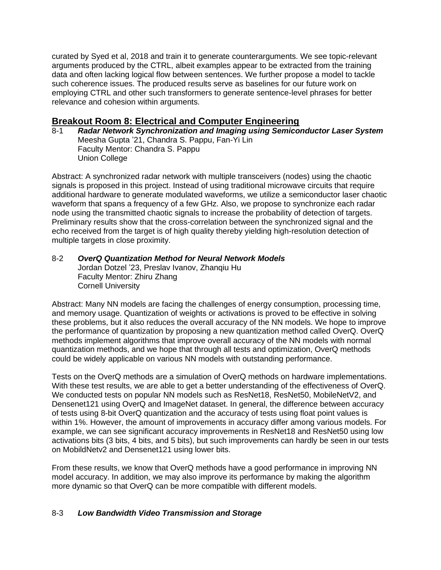curated by Syed et al, 2018 and train it to generate counterarguments. We see topic-relevant arguments produced by the CTRL, albeit examples appear to be extracted from the training data and often lacking logical flow between sentences. We further propose a model to tackle such coherence issues. The produced results serve as baselines for our future work on employing CTRL and other such transformers to generate sentence-level phrases for better relevance and cohesion within arguments.

# **Breakout Room 8: Electrical and Computer Engineering**

8-1 *Radar Network Synchronization and Imaging using Semiconductor Laser System* Meesha Gupta '21, Chandra S. Pappu, Fan-Yi Lin Faculty Mentor: Chandra S. Pappu Union College

Abstract: A synchronized radar network with multiple transceivers (nodes) using the chaotic signals is proposed in this project. Instead of using traditional microwave circuits that require additional hardware to generate modulated waveforms, we utilize a semiconductor laser chaotic waveform that spans a frequency of a few GHz. Also, we propose to synchronize each radar node using the transmitted chaotic signals to increase the probability of detection of targets. Preliminary results show that the cross-correlation between the synchronized signal and the echo received from the target is of high quality thereby yielding high-resolution detection of multiple targets in close proximity.

# 8-2 *OverQ Quantization Method for Neural Network Models*

Jordan Dotzel '23, Preslav Ivanov, Zhanqiu Hu Faculty Mentor: Zhiru Zhang Cornell University

Abstract: Many NN models are facing the challenges of energy consumption, processing time, and memory usage. Quantization of weights or activations is proved to be effective in solving these problems, but it also reduces the overall accuracy of the NN models. We hope to improve the performance of quantization by proposing a new quantization method called OverQ. OverQ methods implement algorithms that improve overall accuracy of the NN models with normal quantization methods, and we hope that through all tests and optimization, OverQ methods could be widely applicable on various NN models with outstanding performance.

Tests on the OverQ methods are a simulation of OverQ methods on hardware implementations. With these test results, we are able to get a better understanding of the effectiveness of OverQ. We conducted tests on popular NN models such as ResNet18, ResNet50, MobileNetV2, and Densenet121 using OverQ and ImageNet dataset. In general, the difference between accuracy of tests using 8-bit OverQ quantization and the accuracy of tests using float point values is within 1%. However, the amount of improvements in accuracy differ among various models. For example, we can see significant accuracy improvements in ResNet18 and ResNet50 using low activations bits (3 bits, 4 bits, and 5 bits), but such improvements can hardly be seen in our tests on MobildNetv2 and Densenet121 using lower bits.

From these results, we know that OverQ methods have a good performance in improving NN model accuracy. In addition, we may also improve its performance by making the algorithm more dynamic so that OverQ can be more compatible with different models.

# 8-3 *Low Bandwidth Video Transmission and Storage*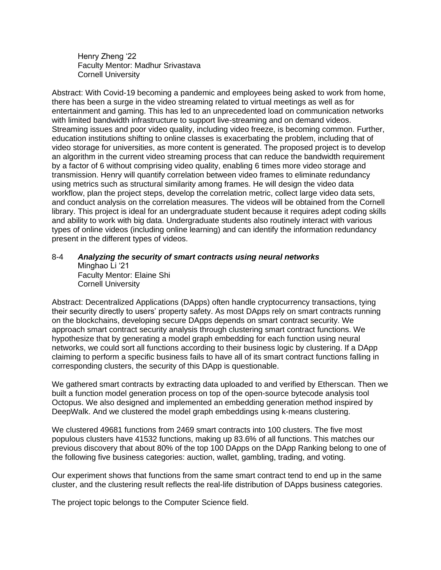Henry Zheng '22 Faculty Mentor: Madhur Srivastava Cornell University

Abstract: With Covid-19 becoming a pandemic and employees being asked to work from home, there has been a surge in the video streaming related to virtual meetings as well as for entertainment and gaming. This has led to an unprecedented load on communication networks with limited bandwidth infrastructure to support live-streaming and on demand videos. Streaming issues and poor video quality, including video freeze, is becoming common. Further, education institutions shifting to online classes is exacerbating the problem, including that of video storage for universities, as more content is generated. The proposed project is to develop an algorithm in the current video streaming process that can reduce the bandwidth requirement by a factor of 6 without comprising video quality, enabling 6 times more video storage and transmission. Henry will quantify correlation between video frames to eliminate redundancy using metrics such as structural similarity among frames. He will design the video data workflow, plan the project steps, develop the correlation metric, collect large video data sets, and conduct analysis on the correlation measures. The videos will be obtained from the Cornell library. This project is ideal for an undergraduate student because it requires adept coding skills and ability to work with big data. Undergraduate students also routinely interact with various types of online videos (including online learning) and can identify the information redundancy present in the different types of videos.

#### 8-4 *Analyzing the security of smart contracts using neural networks* Minghao Li '21 Faculty Mentor: Elaine Shi Cornell University

Abstract: Decentralized Applications (DApps) often handle cryptocurrency transactions, tying their security directly to users' property safety. As most DApps rely on smart contracts running on the blockchains, developing secure DApps depends on smart contract security. We approach smart contract security analysis through clustering smart contract functions. We hypothesize that by generating a model graph embedding for each function using neural networks, we could sort all functions according to their business logic by clustering. If a DApp claiming to perform a specific business fails to have all of its smart contract functions falling in corresponding clusters, the security of this DApp is questionable.

We gathered smart contracts by extracting data uploaded to and verified by Etherscan. Then we built a function model generation process on top of the open-source bytecode analysis tool Octopus. We also designed and implemented an embedding generation method inspired by DeepWalk. And we clustered the model graph embeddings using k-means clustering.

We clustered 49681 functions from 2469 smart contracts into 100 clusters. The five most populous clusters have 41532 functions, making up 83.6% of all functions. This matches our previous discovery that about 80% of the top 100 DApps on the DApp Ranking belong to one of the following five business categories: auction, wallet, gambling, trading, and voting.

Our experiment shows that functions from the same smart contract tend to end up in the same cluster, and the clustering result reflects the real-life distribution of DApps business categories.

The project topic belongs to the Computer Science field.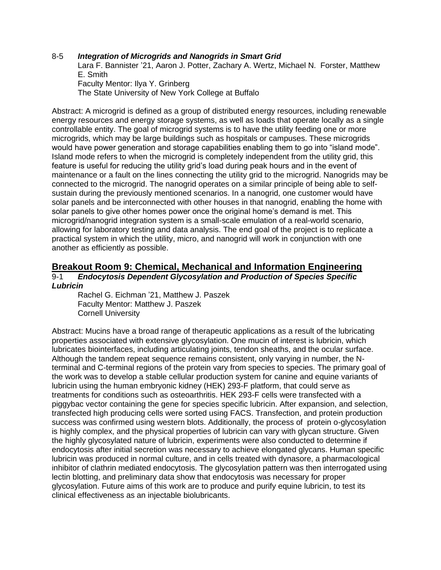#### 8-5 *Integration of Microgrids and Nanogrids in Smart Grid*

Lara F. Bannister '21, Aaron J. Potter, Zachary A. Wertz, Michael N. Forster, Matthew E. Smith Faculty Mentor: Ilya Y. Grinberg The State University of New York College at Buffalo

Abstract: A microgrid is defined as a group of distributed energy resources, including renewable energy resources and energy storage systems, as well as loads that operate locally as a single controllable entity. The goal of microgrid systems is to have the utility feeding one or more microgrids, which may be large buildings such as hospitals or campuses. These microgrids would have power generation and storage capabilities enabling them to go into "island mode". Island mode refers to when the microgrid is completely independent from the utility grid, this feature is useful for reducing the utility grid's load during peak hours and in the event of maintenance or a fault on the lines connecting the utility grid to the microgrid. Nanogrids may be connected to the microgrid. The nanogrid operates on a similar principle of being able to selfsustain during the previously mentioned scenarios. In a nanogrid, one customer would have solar panels and be interconnected with other houses in that nanogrid, enabling the home with solar panels to give other homes power once the original home's demand is met. This microgrid/nanogrid integration system is a small-scale emulation of a real-world scenario, allowing for laboratory testing and data analysis. The end goal of the project is to replicate a practical system in which the utility, micro, and nanogrid will work in conjunction with one another as efficiently as possible.

# **Breakout Room 9: Chemical, Mechanical and Information Engineering**

#### 9-1 *Endocytosis Dependent Glycosylation and Production of Species Specific Lubricin*

Rachel G. Eichman '21, Matthew J. Paszek Faculty Mentor: Matthew J. Paszek Cornell University

Abstract: Mucins have a broad range of therapeutic applications as a result of the lubricating properties associated with extensive glycosylation. One mucin of interest is lubricin, which lubricates biointerfaces, including articulating joints, tendon sheaths, and the ocular surface. Although the tandem repeat sequence remains consistent, only varying in number, the Nterminal and C-terminal regions of the protein vary from species to species. The primary goal of the work was to develop a stable cellular production system for canine and equine variants of lubricin using the human embryonic kidney (HEK) 293-F platform, that could serve as treatments for conditions such as osteoarthritis. HEK 293-F cells were transfected with a piggybac vector containing the gene for species specific lubricin. After expansion, and selection, transfected high producing cells were sorted using FACS. Transfection, and protein production success was confirmed using western blots. Additionally, the process of protein o-glycosylation is highly complex, and the physical properties of lubricin can vary with glycan structure. Given the highly glycosylated nature of lubricin, experiments were also conducted to determine if endocytosis after initial secretion was necessary to achieve elongated glycans. Human specific lubricin was produced in normal culture, and in cells treated with dynasore, a pharmacological inhibitor of clathrin mediated endocytosis. The glycosylation pattern was then interrogated using lectin blotting, and preliminary data show that endocytosis was necessary for proper glycosylation. Future aims of this work are to produce and purify equine lubricin, to test its clinical effectiveness as an injectable biolubricants.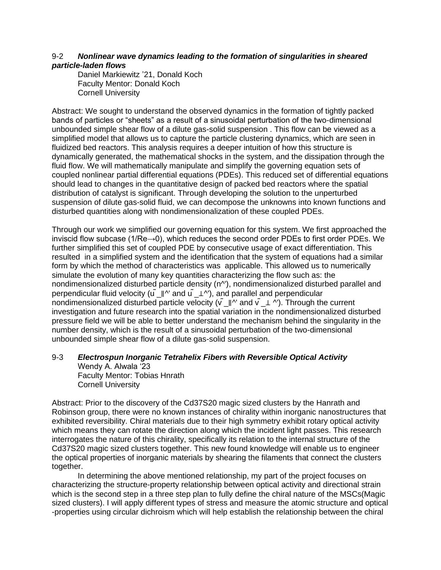## 9-2 *Nonlinear wave dynamics leading to the formation of singularities in sheared particle-laden flows*

Daniel Markiewitz '21, Donald Koch Faculty Mentor: Donald Koch Cornell University

Abstract: We sought to understand the observed dynamics in the formation of tightly packed bands of particles or "sheets" as a result of a sinusoidal perturbation of the two-dimensional unbounded simple shear flow of a dilute gas-solid suspension . This flow can be viewed as a simplified model that allows us to capture the particle clustering dynamics, which are seen in fluidized bed reactors. This analysis requires a deeper intuition of how this structure is dynamically generated, the mathematical shocks in the system, and the dissipation through the fluid flow. We will mathematically manipulate and simplify the governing equation sets of coupled nonlinear partial differential equations (PDEs). This reduced set of differential equations should lead to changes in the quantitative design of packed bed reactors where the spatial distribution of catalyst is significant. Through developing the solution to the unperturbed suspension of dilute gas-solid fluid, we can decompose the unknowns into known functions and disturbed quantities along with nondimensionalization of these coupled PDEs.

Through our work we simplified our governing equation for this system. We first approached the inviscid flow subcase (1/Re→0), which reduces the second order PDEs to first order PDEs. We further simplified this set of coupled PDE by consecutive usage of exact differentiation. This resulted in a simplified system and the identification that the system of equations had a similar form by which the method of characteristics was applicable. This allowed us to numerically simulate the evolution of many key quantities characterizing the flow such as: the nondimensionalized disturbed particle density (n^'), nondimensionalized disturbed parallel and perpendicular fluid velocity (u  $\| \cdot \|$ <sup>'</sup> and u  $\| \perp \wedge'$ ), and parallel and perpendicular nondimensionalized disturbed particle velocity ( $\tilde{v}$   $\parallel$ <sup> $\wedge$ </sup> and  $\tilde{v}$   $\perp$  ^'). Through the current investigation and future research into the spatial variation in the nondimensionalized disturbed pressure field we will be able to better understand the mechanism behind the singularity in the number density, which is the result of a sinusoidal perturbation of the two-dimensional unbounded simple shear flow of a dilute gas-solid suspension.

# 9-3 *Electrospun Inorganic Tetrahelix Fibers with Reversible Optical Activity* Wendy A. Alwala '23

Faculty Mentor: Tobias Hnrath Cornell University

Abstract: Prior to the discovery of the Cd37S20 magic sized clusters by the Hanrath and Robinson group, there were no known instances of chirality within inorganic nanostructures that exhibited reversibility. Chiral materials due to their high symmetry exhibit rotary optical activity which means they can rotate the direction along which the incident light passes. This research interrogates the nature of this chirality, specifically its relation to the internal structure of the Cd37S20 magic sized clusters together. This new found knowledge will enable us to engineer the optical properties of inorganic materials by shearing the filaments that connect the clusters together.

In determining the above mentioned relationship, my part of the project focuses on characterizing the structure-property relationship between optical activity and directional strain which is the second step in a three step plan to fully define the chiral nature of the MSCs(Magic sized clusters). I will apply different types of stress and measure the atomic structure and optical -properties using circular dichroism which will help establish the relationship between the chiral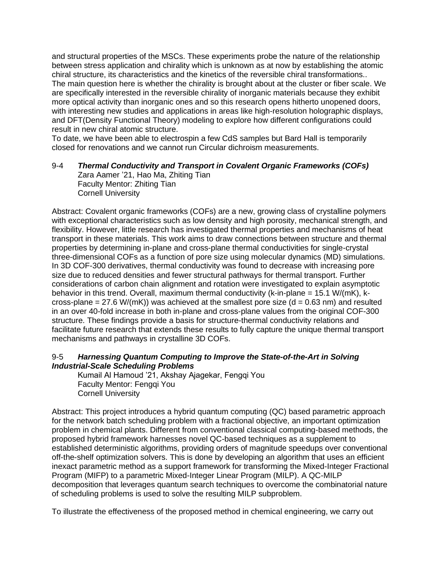and structural properties of the MSCs. These experiments probe the nature of the relationship between stress application and chirality which is unknown as at now by establishing the atomic chiral structure, its characteristics and the kinetics of the reversible chiral transformations.. The main question here is whether the chirality is brought about at the cluster or fiber scale. We are specifically interested in the reversible chirality of inorganic materials because they exhibit more optical activity than inorganic ones and so this research opens hitherto unopened doors, with interesting new studies and applications in areas like high-resolution holographic displays, and DFT(Density Functional Theory) modeling to explore how different configurations could result in new chiral atomic structure.

To date, we have been able to electrospin a few CdS samples but Bard Hall is temporarily closed for renovations and we cannot run Circular dichroism measurements.

#### 9-4 *Thermal Conductivity and Transport in Covalent Organic Frameworks (COFs)*

Zara Aamer '21, Hao Ma, Zhiting Tian Faculty Mentor: Zhiting Tian Cornell University

Abstract: Covalent organic frameworks (COFs) are a new, growing class of crystalline polymers with exceptional characteristics such as low density and high porosity, mechanical strength, and flexibility. However, little research has investigated thermal properties and mechanisms of heat transport in these materials. This work aims to draw connections between structure and thermal properties by determining in-plane and cross-plane thermal conductivities for single-crystal three-dimensional COFs as a function of pore size using molecular dynamics (MD) simulations. In 3D COF-300 derivatives, thermal conductivity was found to decrease with increasing pore size due to reduced densities and fewer structural pathways for thermal transport. Further considerations of carbon chain alignment and rotation were investigated to explain asymptotic behavior in this trend. Overall, maximum thermal conductivity ( $k$ -in-plane = 15.1 W/( $mK$ ),  $k$ cross-plane =  $27.6$  W/(mK)) was achieved at the smallest pore size ( $d = 0.63$  nm) and resulted in an over 40-fold increase in both in-plane and cross-plane values from the original COF-300 structure. These findings provide a basis for structure-thermal conductivity relations and facilitate future research that extends these results to fully capture the unique thermal transport mechanisms and pathways in crystalline 3D COFs.

#### 9-5 *Harnessing Quantum Computing to Improve the State-of-the-Art in Solving Industrial-Scale Scheduling Problems*

Kumail Al Hamoud '21, Akshay Ajagekar, Fengqi You Faculty Mentor: Fengqi You Cornell University

Abstract: This project introduces a hybrid quantum computing (QC) based parametric approach for the network batch scheduling problem with a fractional objective, an important optimization problem in chemical plants. Different from conventional classical computing-based methods, the proposed hybrid framework harnesses novel QC-based techniques as a supplement to established deterministic algorithms, providing orders of magnitude speedups over conventional off-the-shelf optimization solvers. This is done by developing an algorithm that uses an efficient inexact parametric method as a support framework for transforming the Mixed-Integer Fractional Program (MIFP) to a parametric Mixed-Integer Linear Program (MILP). A QC-MILP decomposition that leverages quantum search techniques to overcome the combinatorial nature of scheduling problems is used to solve the resulting MILP subproblem.

To illustrate the effectiveness of the proposed method in chemical engineering, we carry out